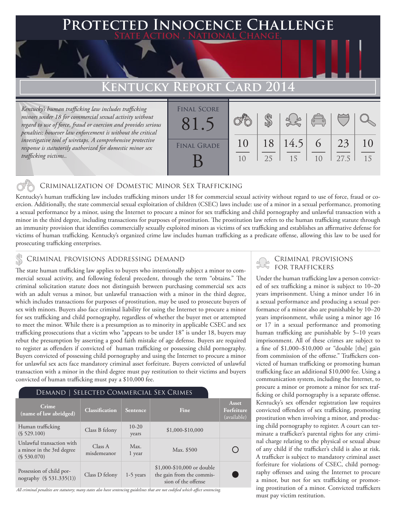### **PTED INNOCENCE CHALLENGE State Action . National Change.**

### **KENTUCKY REPORT CARD**

*Kentucky's human trafficking law includes trafficking minors under 18 for commercial sexual activity without regard to use of force, fraud or coercion and provides serious penalties; however law enforcement is without the critical investigative tool of wiretaps. A comprehensive protective response is statutorily authorized for domestic minor sex trafficking victims..* 

| <b>FINAL SCORE</b><br>81. |          |          |            | $\sqrt{\frac{1}{10}}$ |            |          |
|---------------------------|----------|----------|------------|-----------------------|------------|----------|
| <b>FINAL GRADE</b>        | 10<br>10 | 18<br>25 | 14.5<br>15 | 6<br>10               | 23<br>27.5 | 10<br>15 |

#### Criminalization of Domestic Minor Sex Trafficking

Kentucky's human trafficking law includes trafficking minors under 18 for commercial sexual activity without regard to use of force, fraud or coercion. Additionally, the state commercial sexual exploitation of children (CSEC) laws include: use of a minor in a sexual performance, promoting a sexual performance by a minor, using the Internet to procure a minor for sex trafficking and child pornography and unlawful transaction with a minor in the third degree, including transactions for purposes of prostitution. The prostitution law refers to the human trafficking statute through an immunity provision that identifies commercially sexually exploited minors as victims of sex trafficking and establishes an affirmative defense for victims of human trafficking. Kentucky's organized crime law includes human trafficking as a predicate offense, allowing this law to be used for prosecuting trafficking enterprises.

### CRIMINAL PROVISIONS ADDRESSING DEMAND<br>FOR TRAFFICKERS FOR TRAFFICKERS

The state human trafficking law applies to buyers who intentionally subject a minor to commercial sexual activity, and following federal precedent, through the term "obtains." The criminal solicitation statute does not distinguish between purchasing commercial sex acts with an adult versus a minor, but unlawful transaction with a minor in the third degree, which includes transactions for purposes of prostitution, may be used to prosecute buyers of sex with minors. Buyers also face criminal liability for using the Internet to procure a minor for sex trafficking and child pornography, regardless of whether the buyer met or attempted to meet the minor. While there is a presumption as to minority in applicable CSEC and sex trafficking prosecutions that a victim who "appears to be under 18" is under 18, buyers may rebut the presumption by asserting a good faith mistake of age defense. Buyers are required to register as offenders if convicted of human trafficking or possessing child pornography. Buyers convicted of possessing child pornography and using the Internet to procure a minor for unlawful sex acts face mandatory criminal asset forfeiture. Buyers convicted of unlawful transaction with a minor in the third degree must pay restitution to their victims and buyers convicted of human trafficking must pay a \$10,000 fee.

#### Demand | Selected Commercial Sex Crimes

| Crime<br>(name of law abridged)                                       | <b>Classification</b>  | <b>Sentence</b>    | Fine                                                                            | Asset<br>Forfeiture<br>(available) |
|-----------------------------------------------------------------------|------------------------|--------------------|---------------------------------------------------------------------------------|------------------------------------|
| Human trafficking<br>(S 529.100)                                      | Class B felony         | $10 - 20$<br>years | $$1,000-S10,000$                                                                |                                    |
| Unlawful transaction with<br>a minor in the 3rd degree<br>(S 530.070) | Class A<br>misdemeanor | Max.<br>1 year     | Max. \$500                                                                      |                                    |
| Possession of child por-<br>nography (§ 531.335(1))                   | Class D felony         | $1-5$ years        | $$1,000-\$10,000$ or double<br>the gain from the commis-<br>sion of the offense |                                    |

*All criminal penalties are statutory; many states also have sentencing guidelines that are not codified which affect sentencing.* 

# Criminal provisions

Under the human trafficking law a person convicted of sex trafficking a minor is subject to 10–20 years imprisonment. Using a minor under 16 in a sexual performance and producing a sexual performance of a minor also are punishable by 10–20 years imprisonment, while using a minor age 16 or 17 in a sexual performance and promoting human trafficking are punishable by 5–10 years imprisonment. All of these crimes are subject to a fine of \$1,000–\$10,000 or "double [the] gain from commission of the offense." Traffickers convicted of human trafficking or promoting human trafficking face an additional \$10,000 fee. Using a communication system, including the Internet, to procure a minor or promote a minor for sex trafficking or child pornography is a separate offense. Kentucky's sex offender registration law requires convicted offenders of sex trafficking, promoting prostitution when involving a minor, and producing child pornography to register. A court can terminate a trafficker's parental rights for any criminal charge relating to the physical or sexual abuse of any child if the trafficker's child is also at risk. A trafficker is subject to mandatory criminal asset forfeiture for violations of CSEC, child pornography offenses and using the Internet to procure a minor, but not for sex trafficking or promoting prostitution of a minor. Convicted traffickers must pay victim restitution.